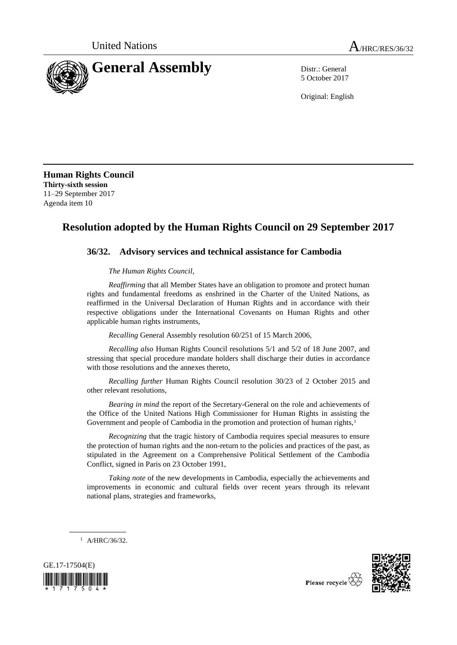

5 October 2017

Original: English

**Human Rights Council Thirty-sixth session** 11–29 September 2017 Agenda item 10

## **Resolution adopted by the Human Rights Council on 29 September 2017**

## **36/32. Advisory services and technical assistance for Cambodia**

*The Human Rights Council*,

*Reaffirming* that all Member States have an obligation to promote and protect human rights and fundamental freedoms as enshrined in the Charter of the United Nations, as reaffirmed in the Universal Declaration of Human Rights and in accordance with their respective obligations under the International Covenants on Human Rights and other applicable human rights instruments,

*Recalling* General Assembly resolution 60/251 of 15 March 2006,

*Recalling also* Human Rights Council resolutions 5/1 and 5/2 of 18 June 2007, and stressing that special procedure mandate holders shall discharge their duties in accordance with those resolutions and the annexes thereto,

*Recalling further* Human Rights Council resolution 30/23 of 2 October 2015 and other relevant resolutions,

*Bearing in mind* the report of the Secretary-General on the role and achievements of the Office of the United Nations High Commissioner for Human Rights in assisting the Government and people of Cambodia in the promotion and protection of human rights,<sup>1</sup>

*Recognizing* that the tragic history of Cambodia requires special measures to ensure the protection of human rights and the non-return to the policies and practices of the past, as stipulated in the Agreement on a Comprehensive Political Settlement of the Cambodia Conflict, signed in Paris on 23 October 1991,

*Taking note* of the new developments in Cambodia, especially the achievements and improvements in economic and cultural fields over recent years through its relevant national plans, strategies and frameworks,

 $1$  A/HRC/36/32.





Please recycle  $\overline{\nabla}$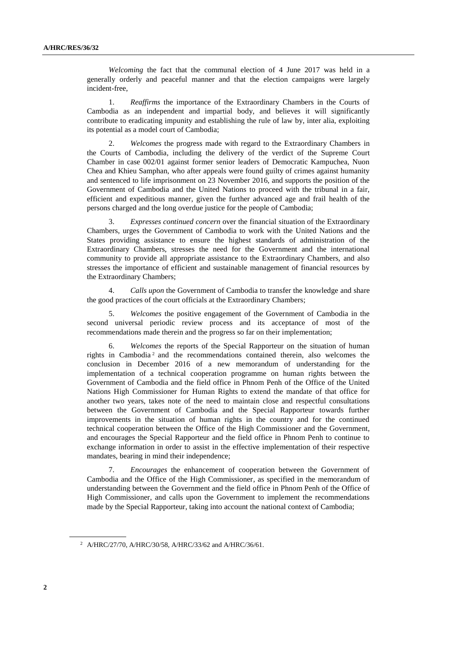*Welcoming* the fact that the communal election of 4 June 2017 was held in a generally orderly and peaceful manner and that the election campaigns were largely incident-free,

1. *Reaffirms* the importance of the Extraordinary Chambers in the Courts of Cambodia as an independent and impartial body, and believes it will significantly contribute to eradicating impunity and establishing the rule of law by, inter alia, exploiting its potential as a model court of Cambodia;

2. *Welcomes* the progress made with regard to the Extraordinary Chambers in the Courts of Cambodia, including the delivery of the verdict of the Supreme Court Chamber in case 002/01 against former senior leaders of Democratic Kampuchea, Nuon Chea and Khieu Samphan, who after appeals were found guilty of crimes against humanity and sentenced to life imprisonment on 23 November 2016, and supports the position of the Government of Cambodia and the United Nations to proceed with the tribunal in a fair, efficient and expeditious manner, given the further advanced age and frail health of the persons charged and the long overdue justice for the people of Cambodia;

3. *Expresses continued concern* over the financial situation of the Extraordinary Chambers, urges the Government of Cambodia to work with the United Nations and the States providing assistance to ensure the highest standards of administration of the Extraordinary Chambers, stresses the need for the Government and the international community to provide all appropriate assistance to the Extraordinary Chambers, and also stresses the importance of efficient and sustainable management of financial resources by the Extraordinary Chambers;

4. *Calls upon* the Government of Cambodia to transfer the knowledge and share the good practices of the court officials at the Extraordinary Chambers;

5. *Welcomes* the positive engagement of the Government of Cambodia in the second universal periodic review process and its acceptance of most of the recommendations made therein and the progress so far on their implementation;

6. *Welcomes* the reports of the Special Rapporteur on the situation of human rights in Cambodia <sup>2</sup> and the recommendations contained therein, also welcomes the conclusion in December 2016 of a new memorandum of understanding for the implementation of a technical cooperation programme on human rights between the Government of Cambodia and the field office in Phnom Penh of the Office of the United Nations High Commissioner for Human Rights to extend the mandate of that office for another two years, takes note of the need to maintain close and respectful consultations between the Government of Cambodia and the Special Rapporteur towards further improvements in the situation of human rights in the country and for the continued technical cooperation between the Office of the High Commissioner and the Government, and encourages the Special Rapporteur and the field office in Phnom Penh to continue to exchange information in order to assist in the effective implementation of their respective mandates, bearing in mind their independence;

7. *Encourages* the enhancement of cooperation between the Government of Cambodia and the Office of the High Commissioner, as specified in the memorandum of understanding between the Government and the field office in Phnom Penh of the Office of High Commissioner, and calls upon the Government to implement the recommendations made by the Special Rapporteur, taking into account the national context of Cambodia;

<sup>2</sup> A/HRC/27/70, A/HRC/30/58, A/HRC/33/62 and A/HRC/36/61.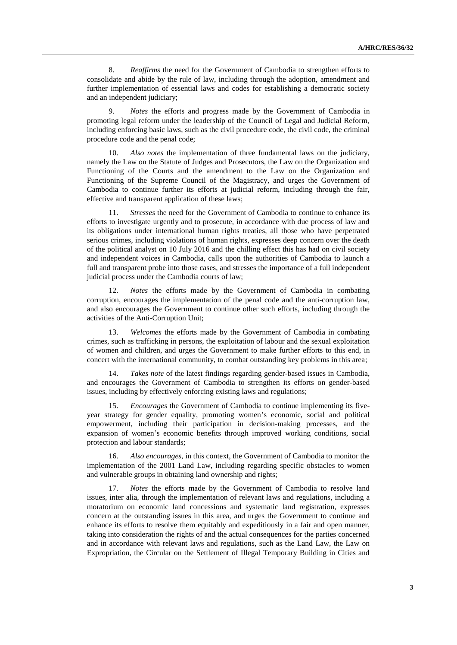8. *Reaffirms* the need for the Government of Cambodia to strengthen efforts to consolidate and abide by the rule of law, including through the adoption, amendment and further implementation of essential laws and codes for establishing a democratic society and an independent judiciary;

9. *Notes* the efforts and progress made by the Government of Cambodia in promoting legal reform under the leadership of the Council of Legal and Judicial Reform, including enforcing basic laws, such as the civil procedure code, the civil code, the criminal procedure code and the penal code;

Also notes the implementation of three fundamental laws on the judiciary, namely the Law on the Statute of Judges and Prosecutors, the Law on the Organization and Functioning of the Courts and the amendment to the Law on the Organization and Functioning of the Supreme Council of the Magistracy, and urges the Government of Cambodia to continue further its efforts at judicial reform, including through the fair, effective and transparent application of these laws;

11. *Stresses* the need for the Government of Cambodia to continue to enhance its efforts to investigate urgently and to prosecute, in accordance with due process of law and its obligations under international human rights treaties, all those who have perpetrated serious crimes, including violations of human rights, expresses deep concern over the death of the political analyst on 10 July 2016 and the chilling effect this has had on civil society and independent voices in Cambodia, calls upon the authorities of Cambodia to launch a full and transparent probe into those cases, and stresses the importance of a full independent judicial process under the Cambodia courts of law;

12. *Notes* the efforts made by the Government of Cambodia in combating corruption, encourages the implementation of the penal code and the anti-corruption law, and also encourages the Government to continue other such efforts, including through the activities of the Anti-Corruption Unit;

13. *Welcomes* the efforts made by the Government of Cambodia in combating crimes, such as trafficking in persons, the exploitation of labour and the sexual exploitation of women and children, and urges the Government to make further efforts to this end, in concert with the international community, to combat outstanding key problems in this area;

14. *Takes note* of the latest findings regarding gender-based issues in Cambodia, and encourages the Government of Cambodia to strengthen its efforts on gender-based issues, including by effectively enforcing existing laws and regulations;

15. *Encourages* the Government of Cambodia to continue implementing its fiveyear strategy for gender equality, promoting women's economic, social and political empowerment, including their participation in decision-making processes, and the expansion of women's economic benefits through improved working conditions, social protection and labour standards;

16. *Also encourages*, in this context, the Government of Cambodia to monitor the implementation of the 2001 Land Law, including regarding specific obstacles to women and vulnerable groups in obtaining land ownership and rights;

17. *Notes* the efforts made by the Government of Cambodia to resolve land issues, inter alia, through the implementation of relevant laws and regulations, including a moratorium on economic land concessions and systematic land registration, expresses concern at the outstanding issues in this area, and urges the Government to continue and enhance its efforts to resolve them equitably and expeditiously in a fair and open manner, taking into consideration the rights of and the actual consequences for the parties concerned and in accordance with relevant laws and regulations, such as the Land Law, the Law on Expropriation, the Circular on the Settlement of Illegal Temporary Building in Cities and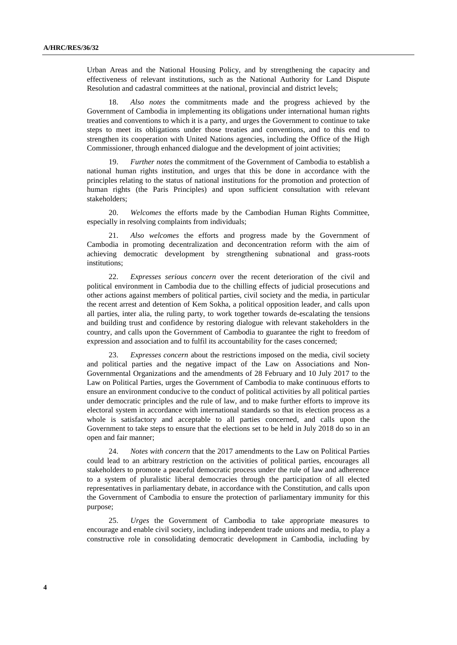Urban Areas and the National Housing Policy, and by strengthening the capacity and effectiveness of relevant institutions, such as the National Authority for Land Dispute Resolution and cadastral committees at the national, provincial and district levels;

Also notes the commitments made and the progress achieved by the Government of Cambodia in implementing its obligations under international human rights treaties and conventions to which it is a party, and urges the Government to continue to take steps to meet its obligations under those treaties and conventions, and to this end to strengthen its cooperation with United Nations agencies, including the Office of the High Commissioner, through enhanced dialogue and the development of joint activities;

19. *Further notes* the commitment of the Government of Cambodia to establish a national human rights institution, and urges that this be done in accordance with the principles relating to the status of national institutions for the promotion and protection of human rights (the Paris Principles) and upon sufficient consultation with relevant stakeholders;

20. *Welcomes* the efforts made by the Cambodian Human Rights Committee, especially in resolving complaints from individuals;

21. *Also welcomes* the efforts and progress made by the Government of Cambodia in promoting decentralization and deconcentration reform with the aim of achieving democratic development by strengthening subnational and grass-roots institutions;

22. *Expresses serious concern* over the recent deterioration of the civil and political environment in Cambodia due to the chilling effects of judicial prosecutions and other actions against members of political parties, civil society and the media, in particular the recent arrest and detention of Kem Sokha, a political opposition leader, and calls upon all parties, inter alia, the ruling party, to work together towards de-escalating the tensions and building trust and confidence by restoring dialogue with relevant stakeholders in the country, and calls upon the Government of Cambodia to guarantee the right to freedom of expression and association and to fulfil its accountability for the cases concerned;

23. *Expresses concern* about the restrictions imposed on the media, civil society and political parties and the negative impact of the Law on Associations and Non-Governmental Organizations and the amendments of 28 February and 10 July 2017 to the Law on Political Parties, urges the Government of Cambodia to make continuous efforts to ensure an environment conducive to the conduct of political activities by all political parties under democratic principles and the rule of law, and to make further efforts to improve its electoral system in accordance with international standards so that its election process as a whole is satisfactory and acceptable to all parties concerned, and calls upon the Government to take steps to ensure that the elections set to be held in July 2018 do so in an open and fair manner;

24. *Notes with concern* that the 2017 amendments to the Law on Political Parties could lead to an arbitrary restriction on the activities of political parties, encourages all stakeholders to promote a peaceful democratic process under the rule of law and adherence to a system of pluralistic liberal democracies through the participation of all elected representatives in parliamentary debate, in accordance with the Constitution, and calls upon the Government of Cambodia to ensure the protection of parliamentary immunity for this purpose;

25. *Urges* the Government of Cambodia to take appropriate measures to encourage and enable civil society, including independent trade unions and media, to play a constructive role in consolidating democratic development in Cambodia, including by